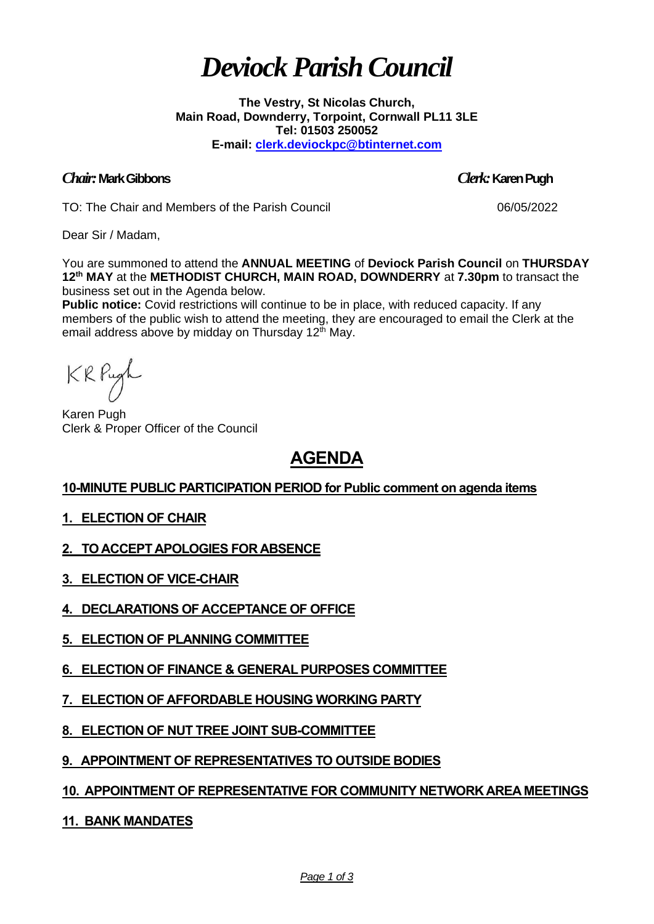# *Deviock Parish Council*

**The Vestry, St Nicolas Church, Main Road, Downderry, Torpoint, Cornwall PL11 3LE Tel: 01503 250052 E-mail: [clerk.deviockpc@btinternet.com](mailto:clerk.deviockpc@btinternet.com)**

# *Chair:* **Mark Gibbons** *Clerk:* **Karen Pugh**

TO: The Chair and Members of the Parish Council 06/05/2022

Dear Sir / Madam,

You are summoned to attend the **ANNUAL MEETING** of **Deviock Parish Council** on **THURSDAY**  12<sup>th</sup> MAY at the METHODIST CHURCH, MAIN ROAD, DOWNDERRY at 7.30pm to transact the business set out in the Agenda below.

**Public notice:** Covid restrictions will continue to be in place, with reduced capacity. If any members of the public wish to attend the meeting, they are encouraged to email the Clerk at the email address above by midday on Thursday 12<sup>th</sup> May.

KRPugh

Karen Pugh Clerk & Proper Officer of the Council

# **AGENDA**

# **10-MINUTE PUBLIC PARTICIPATION PERIOD for Public comment on agenda items**

# **1. ELECTION OF CHAIR**

**2. TO ACCEPT APOLOGIES FOR ABSENCE**

- **3. ELECTION OF VICE-CHAIR**
- **4. DECLARATIONS OF ACCEPTANCE OF OFFICE**
- **5. ELECTION OF PLANNING COMMITTEE**
- **6. ELECTION OF FINANCE & GENERAL PURPOSES COMMITTEE**
- **7. ELECTION OF AFFORDABLE HOUSING WORKING PARTY**
- **8. ELECTION OF NUT TREE JOINT SUB-COMMITTEE**
- **9. APPOINTMENT OF REPRESENTATIVES TO OUTSIDE BODIES**

# **10. APPOINTMENT OF REPRESENTATIVE FOR COMMUNITY NETWORK AREA MEETINGS**

**11. BANK MANDATES**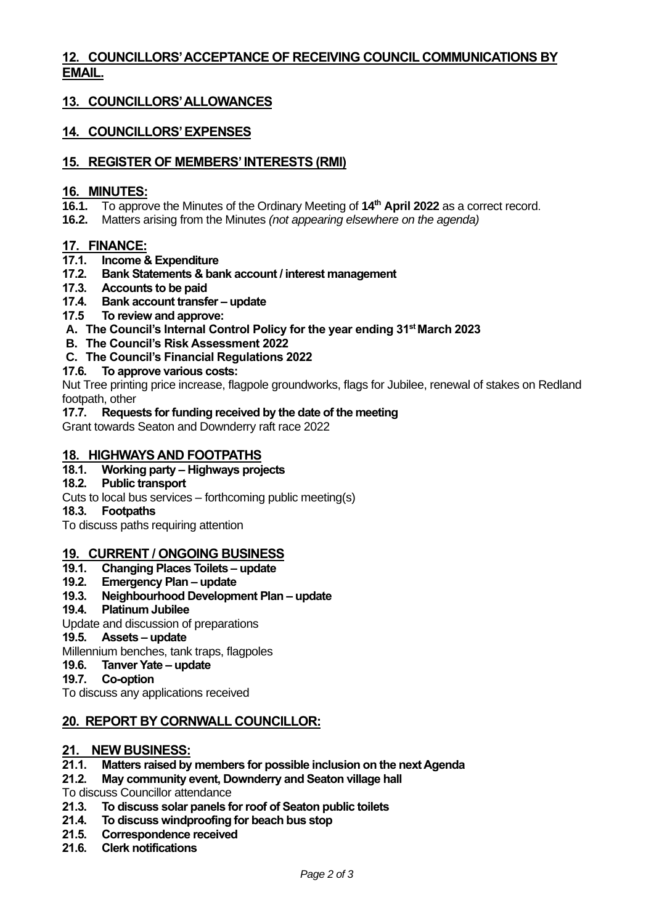# **12. COUNCILLORS' ACCEPTANCE OF RECEIVING COUNCIL COMMUNICATIONS BY EMAIL.**

# **13. COUNCILLORS' ALLOWANCES**

# **14. COUNCILLORS' EXPENSES**

### **15. REGISTER OF MEMBERS' INTERESTS (RMI)**

#### **16. MINUTES:**

- **16.1.** To approve the Minutes of the Ordinary Meeting of **14 th April 2022** as a correct record.
- **16.2.** Matters arising from the Minutes *(not appearing elsewhere on the agenda)*

#### **17. FINANCE:**

- **17.1. Income & Expenditure**
- **17.2. Bank Statements & bank account / interest management**
- **17.3. Accounts to be paid**
- **17.4. Bank account transfer – update**
- **17.5 To review and approve:**
- **A. The Council's Internal Control Policy for the year ending 31st March 2023**
- **B. The Council's Risk Assessment 2022**
- **C. The Council's Financial Regulations 2022**

#### **17.6. To approve various costs:**

Nut Tree printing price increase, flagpole groundworks, flags for Jubilee, renewal of stakes on Redland footpath, other

#### **17.7. Requests for funding received by the date of the meeting**

Grant towards Seaton and Downderry raft race 2022

#### **18. HIGHWAYS AND FOOTPATHS**

**18.1. Working party – Highways projects**

#### **18.2. Public transport**

- Cuts to local bus services forthcoming public meeting(s)
- **18.3. Footpaths**

To discuss paths requiring attention

#### **19. CURRENT / ONGOING BUSINESS**

- **19.1. Changing Places Toilets – update**
- **19.2. Emergency Plan – update**
- **19.3. Neighbourhood Development Plan – update**
- **19.4. Platinum Jubilee**

Update and discussion of preparations

#### **19.5. Assets – update**

Millennium benches, tank traps, flagpoles

- **19.6. Tanver Yate – update**
- **19.7. Co-option**

To discuss any applications received

# **20. REPORT BY CORNWALL COUNCILLOR:**

# 21. NEW BUSINESS:<br>21.1. Matters raised by

- **21.1. Matters raised by members for possible inclusion on the next Agenda**
- **21.2. May community event, Downderry and Seaton village hall**
- To discuss Councillor attendance
- **21.3. To discuss solar panels for roof of Seaton public toilets**
- **21.4. To discuss windproofing for beach bus stop**
- **21.5. Correspondence received**
- **21.6. Clerk notifications**